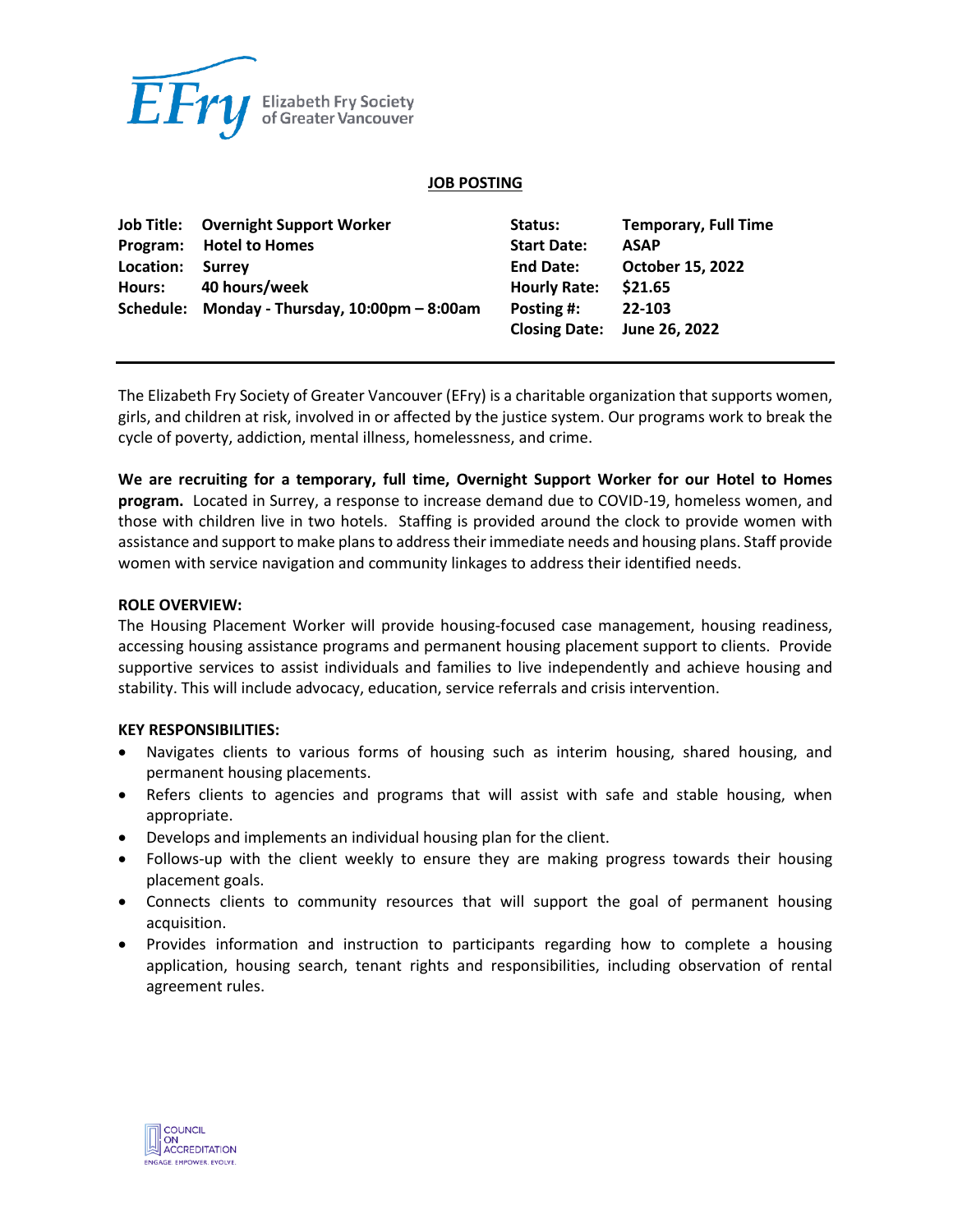

#### **JOB POSTING**

|           | <b>Job Title:</b> Overnight Support Worker    | Status:             | <b>Temporary, Full Time</b> |
|-----------|-----------------------------------------------|---------------------|-----------------------------|
|           | Program: Hotel to Homes                       | <b>Start Date:</b>  | <b>ASAP</b>                 |
| Location: | Surrey                                        | <b>End Date:</b>    | <b>October 15, 2022</b>     |
|           | Hours: 40 hours/week                          | <b>Hourly Rate:</b> | \$21.65                     |
|           | Schedule: Monday - Thursday, 10:00pm - 8:00am | Posting #:          | 22-103                      |
|           |                                               |                     | Closing Date: June 26, 2022 |

The Elizabeth Fry Society of Greater Vancouver (EFry) is a charitable organization that supports women, girls, and children at risk, involved in or affected by the justice system. Our programs work to break the cycle of poverty, addiction, mental illness, homelessness, and crime.

**We are recruiting for a temporary, full time, Overnight Support Worker for our Hotel to Homes program.** Located in Surrey, a response to increase demand due to COVID-19, homeless women, and those with children live in two hotels. Staffing is provided around the clock to provide women with assistance and support to make plans to address their immediate needs and housing plans. Staff provide women with service navigation and community linkages to address their identified needs.

#### **ROLE OVERVIEW:**

The Housing Placement Worker will provide housing-focused case management, housing readiness, accessing housing assistance programs and permanent housing placement support to clients. Provide supportive services to assist individuals and families to live independently and achieve housing and stability. This will include advocacy, education, service referrals and crisis intervention.

#### **KEY RESPONSIBILITIES:**

- Navigates clients to various forms of housing such as interim housing, shared housing, and permanent housing placements.
- Refers clients to agencies and programs that will assist with safe and stable housing, when appropriate.
- Develops and implements an individual housing plan for the client.
- Follows-up with the client weekly to ensure they are making progress towards their housing placement goals.
- Connects clients to community resources that will support the goal of permanent housing acquisition.
- Provides information and instruction to participants regarding how to complete a housing application, housing search, tenant rights and responsibilities, including observation of rental agreement rules.